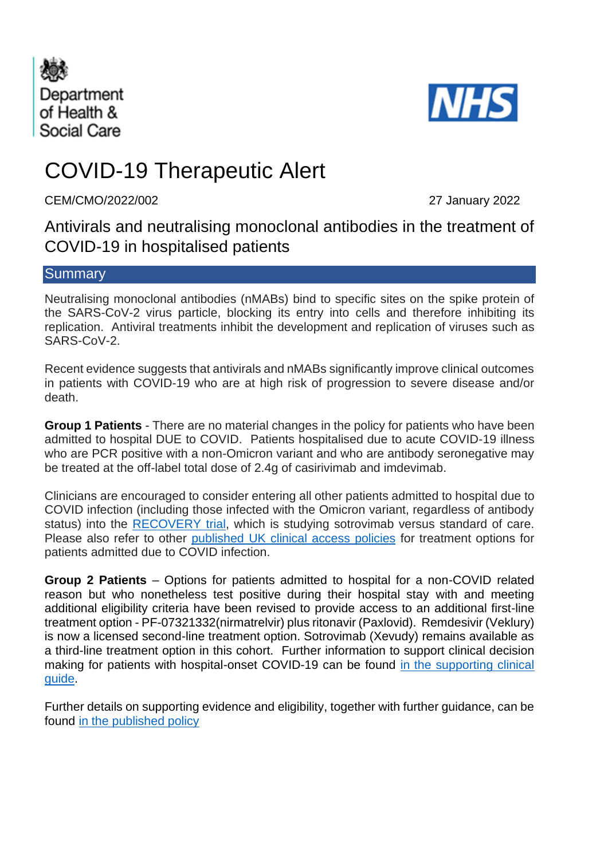



# COVID-19 Therapeutic Alert

CEM/CMO/2022/002 27 January 2022

Antivirals and neutralising monoclonal antibodies in the treatment of COVID-19 in hospitalised patients

## **Summary**

Neutralising monoclonal antibodies (nMABs) bind to specific sites on the spike protein of the SARS-CoV-2 virus particle, blocking its entry into cells and therefore inhibiting its replication. Antiviral treatments inhibit the development and replication of viruses such as SARS-CoV-2.

Recent evidence suggests that antivirals and nMABs significantly improve clinical outcomes in patients with COVID-19 who are at high risk of progression to severe disease and/or death.

**Group 1 Patients** - There are no material changes in the policy for patients who have been admitted to hospital DUE to COVID. Patients hospitalised due to acute COVID-19 illness who are PCR positive with a non-Omicron variant and who are antibody seronegative may be treated at the off-label total dose of 2.4g of casirivimab and imdevimab.

Clinicians are encouraged to consider entering all other patients admitted to hospital due to COVID infection (including those infected with the Omicron variant, regardless of antibody status) into the [RECOVERY trial,](https://www.recoverytrial.net/) which is studying sotrovimab versus standard of care. Please also refer to other [published UK clinical access policies](https://www.cas.mhra.gov.uk/Help/CoronavirusAlerts.aspx) for treatment options for patients admitted due to COVID infection.

**Group 2 Patients** – Options for patients admitted to hospital for a non-COVID related reason but who nonetheless test positive during their hospital stay with and meeting additional eligibility criteria have been revised to provide access to an additional first-line treatment option - PF-07321332(nirmatrelvir) plus ritonavir (Paxlovid). Remdesivir (Veklury) is now a licensed second-line treatment option. Sotrovimab (Xevudy) remains available as a third-line treatment option in this cohort. Further information to support clinical decision making for patients with hospital-onset COVID-19 can be found in the supporting clinical [guide.](https://www.cas.mhra.gov.uk/ViewandAcknowledgment/ViewAlert.aspx?AlertID=103192)

Further details on supporting evidence and eligibility, together with further guidance, can be found [in the published policy](https://www.cas.mhra.gov.uk/ViewandAcknowledgment/ViewAlert.aspx?AlertID=103192)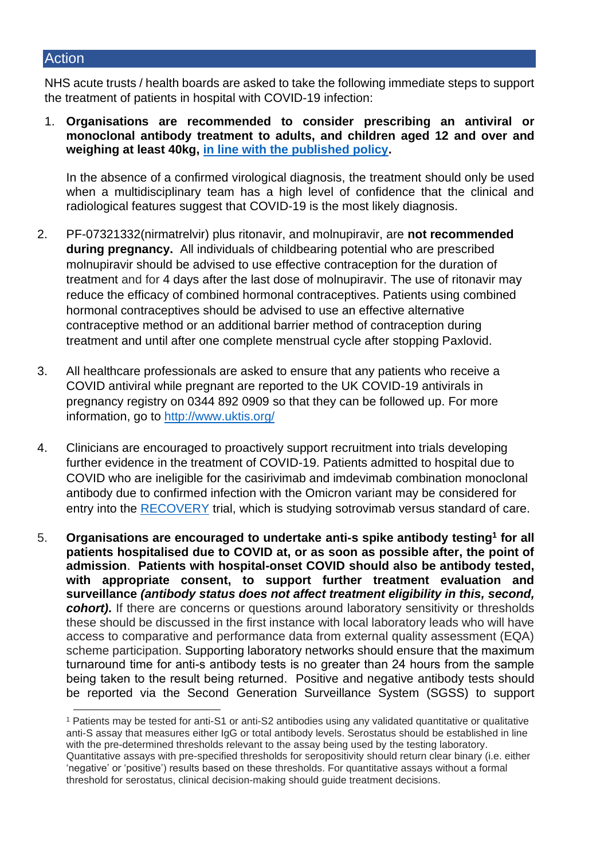#### **Action**

NHS acute trusts / health boards are asked to take the following immediate steps to support the treatment of patients in hospital with COVID-19 infection:

1. **Organisations are recommended to consider prescribing an antiviral or monoclonal antibody treatment to adults, and children aged 12 and over and weighing at least 40kg, in [line with the published policy.](https://www.cas.mhra.gov.uk/ViewandAcknowledgment/ViewAlert.aspx?AlertID=103192)**

In the absence of a confirmed virological diagnosis, the treatment should only be used when a multidisciplinary team has a high level of confidence that the clinical and radiological features suggest that COVID-19 is the most likely diagnosis.

- 2. PF-07321332(nirmatrelvir) plus ritonavir, and molnupiravir, are **not recommended during pregnancy.** All individuals of childbearing potential who are prescribed molnupiravir should be advised to use effective contraception for the duration of treatment and for 4 days after the last dose of molnupiravir. The use of ritonavir may reduce the efficacy of combined hormonal contraceptives. Patients using combined hormonal contraceptives should be advised to use an effective alternative contraceptive method or an additional barrier method of contraception during treatment and until after one complete menstrual cycle after stopping Paxlovid.
- 3. All healthcare professionals are asked to ensure that any patients who receive a COVID antiviral while pregnant are reported to the UK COVID-19 antivirals in pregnancy registry on 0344 892 0909 so that they can be followed up. For more information, go to<http://www.uktis.org/>
- 4. Clinicians are encouraged to proactively support recruitment into trials developing further evidence in the treatment of COVID-19. Patients admitted to hospital due to COVID who are ineligible for the casirivimab and imdevimab combination monoclonal antibody due to confirmed infection with the Omicron variant may be considered for entry into the [RECOVERY](https://www.recoverytrial.net/) trial, which is studying sotrovimab versus standard of care.
- 5. **Organisations are encouraged to undertake anti-s spike antibody testing<sup>1</sup> for all patients hospitalised due to COVID at, or as soon as possible after, the point of admission**. **Patients with hospital-onset COVID should also be antibody tested, with appropriate consent, to support further treatment evaluation and surveillance** *(antibody status does not affect treatment eligibility in this, second, cohort)***.** If there are concerns or questions around laboratory sensitivity or thresholds these should be discussed in the first instance with local laboratory leads who will have access to comparative and performance data from external quality assessment (EQA) scheme participation. Supporting laboratory networks should ensure that the maximum turnaround time for anti-s antibody tests is no greater than 24 hours from the sample being taken to the result being returned. Positive and negative antibody tests should be reported via the Second Generation Surveillance System (SGSS) to support

<sup>1</sup> Patients may be tested for anti-S1 or anti-S2 antibodies using any validated quantitative or qualitative anti-S assay that measures either IgG or total antibody levels. Serostatus should be established in line with the pre-determined thresholds relevant to the assay being used by the testing laboratory. Quantitative assays with pre-specified thresholds for seropositivity should return clear binary (i.e. either 'negative' or 'positive') results based on these thresholds. For quantitative assays without a formal threshold for serostatus, clinical decision-making should guide treatment decisions.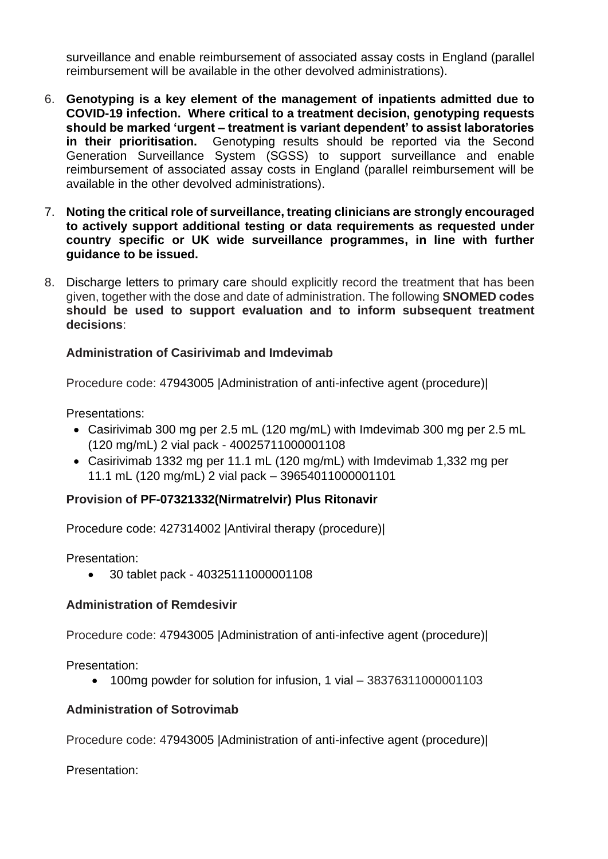surveillance and enable reimbursement of associated assay costs in England (parallel reimbursement will be available in the other devolved administrations).

- 6. **Genotyping is a key element of the management of inpatients admitted due to COVID-19 infection. Where critical to a treatment decision, genotyping requests should be marked 'urgent – treatment is variant dependent' to assist laboratories in their prioritisation.** Genotyping results should be reported via the Second Generation Surveillance System (SGSS) to support surveillance and enable reimbursement of associated assay costs in England (parallel reimbursement will be available in the other devolved administrations).
- 7. **Noting the critical role of surveillance, treating clinicians are strongly encouraged to actively support additional testing or data requirements as requested under country specific or UK wide surveillance programmes, in line with further guidance to be issued.**
- 8. Discharge letters to primary care should explicitly record the treatment that has been given, together with the dose and date of administration. The following **SNOMED codes should be used to support evaluation and to inform subsequent treatment decisions**:

## **Administration of Casirivimab and Imdevimab**

Procedure code: 47943005 |Administration of anti-infective agent (procedure)|

Presentations:

- Casirivimab 300 mg per 2.5 mL (120 mg/mL) with Imdevimab 300 mg per 2.5 mL (120 mg/mL) 2 vial pack - 40025711000001108
- Casirivimab 1332 mg per 11.1 mL (120 mg/mL) with Imdevimab 1,332 mg per 11.1 mL (120 mg/mL) 2 vial pack – 39654011000001101

## **Provision of PF-07321332(Nirmatrelvir) Plus Ritonavir**

Procedure code: 427314002 |Antiviral therapy (procedure)|

Presentation:

• 30 tablet pack - 40325111000001108

#### **Administration of Remdesivir**

Procedure code: 47943005 |Administration of anti-infective agent (procedure)|

Presentation:

• 100mg powder for solution for infusion, 1 vial – 38376311000001103

#### **Administration of Sotrovimab**

Procedure code: 47943005 |Administration of anti-infective agent (procedure)|

Presentation: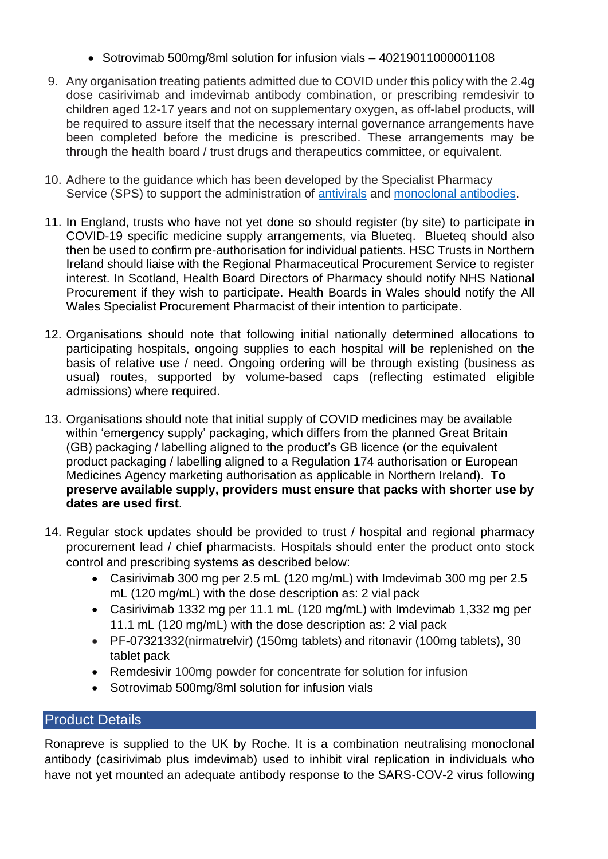- Sotrovimab 500mg/8ml solution for infusion vials 40219011000001108
- 9. Any organisation treating patients admitted due to COVID under this policy with the 2.4g dose casirivimab and imdevimab antibody combination, or prescribing remdesivir to children aged 12-17 years and not on supplementary oxygen, as off-label products, will be required to assure itself that the necessary internal governance arrangements have been completed before the medicine is prescribed. These arrangements may be through the health board / trust drugs and therapeutics committee, or equivalent.
- 10. Adhere to the guidance which has been developed by the Specialist Pharmacy Service (SPS) to support the administration of [antivirals](https://www.sps.nhs.uk/home/guidance/covid-19-treatments/oral-antivirals/) and [monoclonal antibodies.](https://www.sps.nhs.uk/home/guidance/covid-19-treatments/neutralising-monoclonal-antibodies/)
- 11. In England, trusts who have not yet done so should register (by site) to participate in COVID-19 specific medicine supply arrangements, via Blueteq. Blueteq should also then be used to confirm pre-authorisation for individual patients. HSC Trusts in Northern Ireland should liaise with the Regional Pharmaceutical Procurement Service to register interest. In Scotland, Health Board Directors of Pharmacy should notify NHS National Procurement if they wish to participate. Health Boards in Wales should notify the All Wales Specialist Procurement Pharmacist of their intention to participate.
- 12. Organisations should note that following initial nationally determined allocations to participating hospitals, ongoing supplies to each hospital will be replenished on the basis of relative use / need. Ongoing ordering will be through existing (business as usual) routes, supported by volume-based caps (reflecting estimated eligible admissions) where required.
- 13. Organisations should note that initial supply of COVID medicines may be available within 'emergency supply' packaging, which differs from the planned Great Britain (GB) packaging / labelling aligned to the product's GB licence (or the equivalent product packaging / labelling aligned to a Regulation 174 authorisation or European Medicines Agency marketing authorisation as applicable in Northern Ireland). **To preserve available supply, providers must ensure that packs with shorter use by dates are used first**.
- 14. Regular stock updates should be provided to trust / hospital and regional pharmacy procurement lead / chief pharmacists. Hospitals should enter the product onto stock control and prescribing systems as described below:
	- Casirivimab 300 mg per 2.5 mL (120 mg/mL) with Imdevimab 300 mg per 2.5 mL (120 mg/mL) with the dose description as: 2 vial pack
	- Casirivimab 1332 mg per 11.1 mL (120 mg/mL) with Imdevimab 1,332 mg per 11.1 mL (120 mg/mL) with the dose description as: 2 vial pack
	- PF-07321332(nirmatrelvir) (150mg tablets) and ritonavir (100mg tablets), 30 tablet pack
	- Remdesivir 100mg powder for concentrate for solution for infusion
	- Sotrovimab 500mg/8ml solution for infusion vials

# Product Details

Ronapreve is supplied to the UK by Roche. It is a combination neutralising monoclonal antibody (casirivimab plus imdevimab) used to inhibit viral replication in individuals who have not yet mounted an adequate antibody response to the SARS-COV-2 virus following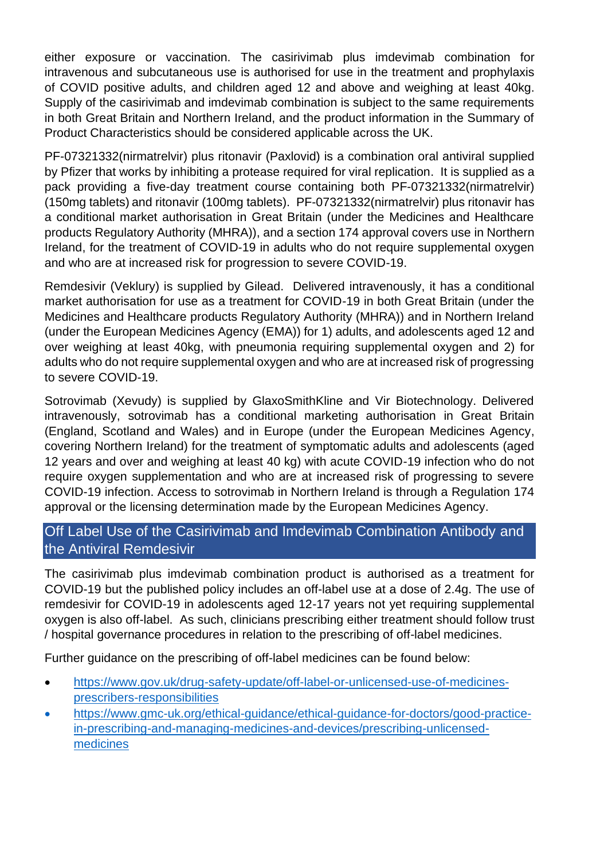either exposure or vaccination. The casirivimab plus imdevimab combination for intravenous and subcutaneous use is authorised for use in the treatment and prophylaxis of COVID positive adults, and children aged 12 and above and weighing at least 40kg. Supply of the casirivimab and imdevimab combination is subject to the same requirements in both Great Britain and Northern Ireland, and the product information in the Summary of Product Characteristics should be considered applicable across the UK.

PF-07321332(nirmatrelvir) plus ritonavir (Paxlovid) is a combination oral antiviral supplied by Pfizer that works by inhibiting a protease required for viral replication. It is supplied as a pack providing a five-day treatment course containing both PF-07321332(nirmatrelvir) (150mg tablets) and ritonavir (100mg tablets). PF-07321332(nirmatrelvir) plus ritonavir has a conditional market authorisation in Great Britain (under the Medicines and Healthcare products Regulatory Authority (MHRA)), and a section 174 approval covers use in Northern Ireland, for the treatment of COVID-19 in adults who do not require supplemental oxygen and who are at increased risk for progression to severe COVID-19.

Remdesivir (Veklury) is supplied by Gilead. Delivered intravenously, it has a conditional market authorisation for use as a treatment for COVID-19 in both Great Britain (under the Medicines and Healthcare products Regulatory Authority (MHRA)) and in Northern Ireland (under the European Medicines Agency (EMA)) for 1) adults, and adolescents aged 12 and over weighing at least 40kg, with pneumonia requiring supplemental oxygen and 2) for adults who do not require supplemental oxygen and who are at increased risk of progressing to severe COVID-19.

Sotrovimab (Xevudy) is supplied by GlaxoSmithKline and Vir Biotechnology. Delivered intravenously, sotrovimab has a conditional marketing authorisation in Great Britain (England, Scotland and Wales) and in Europe (under the European Medicines Agency, covering Northern Ireland) for the treatment of symptomatic adults and adolescents (aged 12 years and over and weighing at least 40 kg) with acute COVID-19 infection who do not require oxygen supplementation and who are at increased risk of progressing to severe COVID-19 infection. Access to sotrovimab in Northern Ireland is through a Regulation 174 approval or the licensing determination made by the European Medicines Agency.

# Off Label Use of the Casirivimab and Imdevimab Combination Antibody and the Antiviral Remdesivir

The casirivimab plus imdevimab combination product is authorised as a treatment for COVID-19 but the published policy includes an off-label use at a dose of 2.4g. The use of remdesivir for COVID-19 in adolescents aged 12-17 years not yet requiring supplemental oxygen is also off-label. As such, clinicians prescribing either treatment should follow trust / hospital governance procedures in relation to the prescribing of off-label medicines.

Further guidance on the prescribing of off-label medicines can be found below:

- [https://www.gov.uk/drug-safety-update/off-label-or-unlicensed-use-of-medicines](https://www.gov.uk/drug-safety-update/off-label-or-unlicensed-use-of-medicines-prescribers-responsibilities)[prescribers-responsibilities](https://www.gov.uk/drug-safety-update/off-label-or-unlicensed-use-of-medicines-prescribers-responsibilities)
- [https://www.gmc-uk.org/ethical-guidance/ethical-guidance-for-doctors/good-practice](https://www.gmc-uk.org/ethical-guidance/ethical-guidance-for-doctors/good-practice-in-prescribing-and-managing-medicines-and-devices/prescribing-unlicensed-medicines)[in-prescribing-and-managing-medicines-and-devices/prescribing-unlicensed](https://www.gmc-uk.org/ethical-guidance/ethical-guidance-for-doctors/good-practice-in-prescribing-and-managing-medicines-and-devices/prescribing-unlicensed-medicines)[medicines](https://www.gmc-uk.org/ethical-guidance/ethical-guidance-for-doctors/good-practice-in-prescribing-and-managing-medicines-and-devices/prescribing-unlicensed-medicines)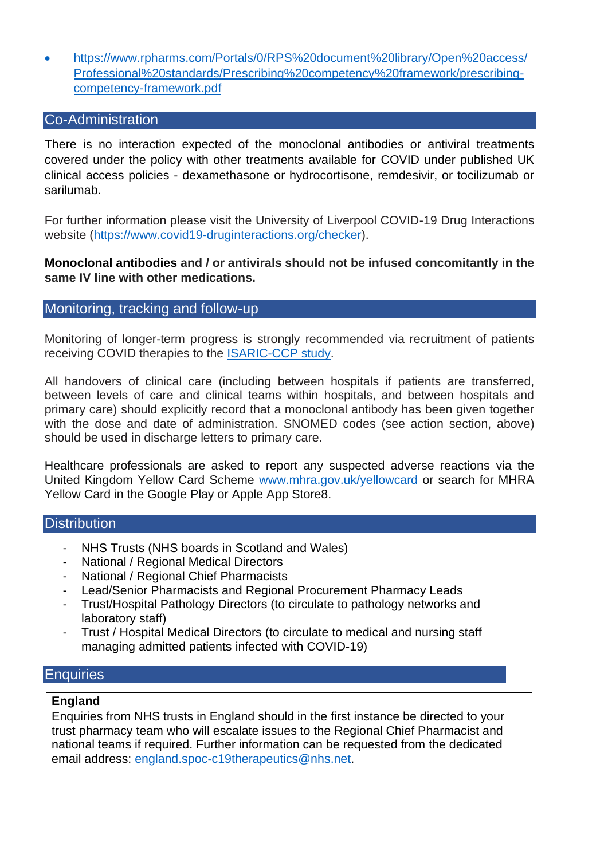• https://www.rpharms.com/Portals/0/RPS%20document%20library/Open%20access/ Professional%20standards/Prescribing%20competency%20framework/prescribingcompetency-framework.pdf

## Co-Administration

There is no interaction expected of the monoclonal antibodies or antiviral treatments covered under the policy with other treatments available for COVID under published UK clinical access policies - dexamethasone or hydrocortisone, remdesivir, or tocilizumab or sarilumab.

For further information please visit the University of Liverpool COVID-19 Drug Interactions website [\(https://www.covid19-druginteractions.org/checker\)](https://www.covid19-druginteractions.org/checker).

## **Monoclonal antibodies and / or antivirals should not be infused concomitantly in the same IV line with other medications.**

## Monitoring, tracking and follow-up

Monitoring of longer-term progress is strongly recommended via recruitment of patients receiving COVID therapies to the [ISARIC-CCP study.](https://isaric4c.net/)

All handovers of clinical care (including between hospitals if patients are transferred, between levels of care and clinical teams within hospitals, and between hospitals and primary care) should explicitly record that a monoclonal antibody has been given together with the dose and date of administration. SNOMED codes (see action section, above) should be used in discharge letters to primary care.

Healthcare professionals are asked to report any suspected adverse reactions via the United Kingdom Yellow Card Scheme [www.mhra.gov.uk/yellowcard](http://www.mhra.gov.uk/yellowcard) or search for MHRA Yellow Card in the Google Play or Apple App Store8.

#### **Distribution**

- NHS Trusts (NHS boards in Scotland and Wales)
- National / Regional Medical Directors
- National / Regional Chief Pharmacists
- Lead/Senior Pharmacists and Regional Procurement Pharmacy Leads
- Trust/Hospital Pathology Directors (to circulate to pathology networks and laboratory staff)
- Trust / Hospital Medical Directors (to circulate to medical and nursing staff managing admitted patients infected with COVID-19)

## Enquiries

#### **England**

Enquiries from NHS trusts in England should in the first instance be directed to your trust pharmacy team who will escalate issues to the Regional Chief Pharmacist and national teams if required. Further information can be requested from the dedicated email address: [england.spoc-c19therapeutics@nhs.net.](mailto:england.spoc-c19therapeutics@nhs.net)